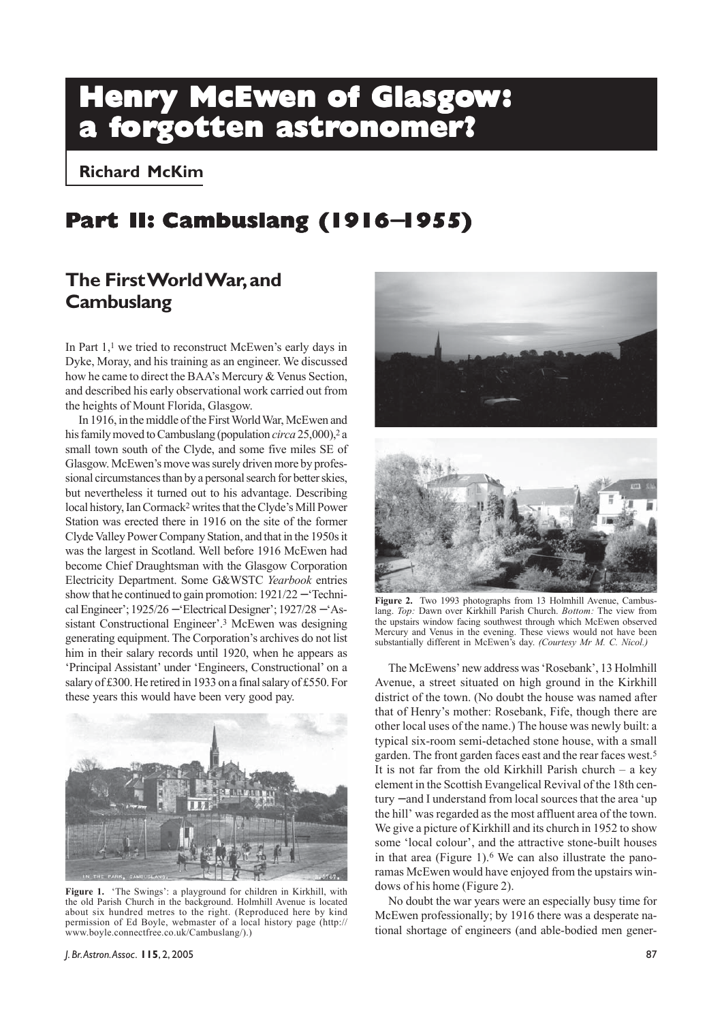# **Henry McEwen of Glasgow: a forgotten astronomer?**

**Richard McKim**

## **Part II: Cambuslang (1916**−**1955)**

## **The First World War, and Cambuslang**

In Part 1,<sup>1</sup> we tried to reconstruct McEwen's early days in Dyke, Moray, and his training as an engineer. We discussed how he came to direct the BAA's Mercury & Venus Section, and described his early observational work carried out from the heights of Mount Florida, Glasgow.

In 1916, in the middle of the First World War, McEwen and his family moved to Cambuslang (population *circa* 25,000),<sup>2</sup> a small town south of the Clyde, and some five miles SE of Glasgow. McEwen's move was surely driven more by professional circumstances than by a personal search for better skies, but nevertheless it turned out to his advantage. Describing local history, Ian Cormack2 writes that the Clyde's Mill Power Station was erected there in 1916 on the site of the former Clyde Valley Power Company Station, and that in the 1950s it was the largest in Scotland. Well before 1916 McEwen had become Chief Draughtsman with the Glasgow Corporation Electricity Department. Some G&WSTC *Yearbook* entries show that he continued to gain promotion:  $1921/22 -$  Technical Engineer'; 1925/26 − 'Electrical Designer'; 1927/28 − 'Assistant Constructional Engineer'.3 McEwen was designing generating equipment. The Corporation's archives do not list him in their salary records until 1920, when he appears as 'Principal Assistant' under 'Engineers, Constructional' on a salary of £300. He retired in 1933 on a final salary of £550. For these years this would have been very good pay.



**Figure 1.** 'The Swings': a playground for children in Kirkhill, with the old Parish Church in the background. Holmhill Avenue is located about six hundred metres to the right. (Reproduced here by kind permission of Ed Boyle, webmaster of a local history page (http:// www.boyle.connectfree.co.uk/Cambuslang/).)





**Figure 2.** Two 1993 photographs from 13 Holmhill Avenue, Cambuslang. *Top:* Dawn over Kirkhill Parish Church. *Bottom:* The view from the upstairs window facing southwest through which McEwen observed Mercury and Venus in the evening. These views would not have been substantially different in McEwen's day. *(Courtesy Mr M. C. Nicol.)*

The McEwens' new address was 'Rosebank', 13 Holmhill Avenue, a street situated on high ground in the Kirkhill district of the town. (No doubt the house was named after that of Henry's mother: Rosebank, Fife, though there are other local uses of the name.) The house was newly built: a typical six-room semi-detached stone house, with a small garden. The front garden faces east and the rear faces west.5 It is not far from the old Kirkhill Parish church – a key element in the Scottish Evangelical Revival of the 18th century − and I understand from local sources that the area 'up the hill' was regarded as the most affluent area of the town. We give a picture of Kirkhill and its church in 1952 to show some 'local colour', and the attractive stone-built houses in that area (Figure 1).6 We can also illustrate the panoramas McEwen would have enjoyed from the upstairs windows of his home (Figure 2).

No doubt the war years were an especially busy time for McEwen professionally; by 1916 there was a desperate national shortage of engineers (and able-bodied men gener-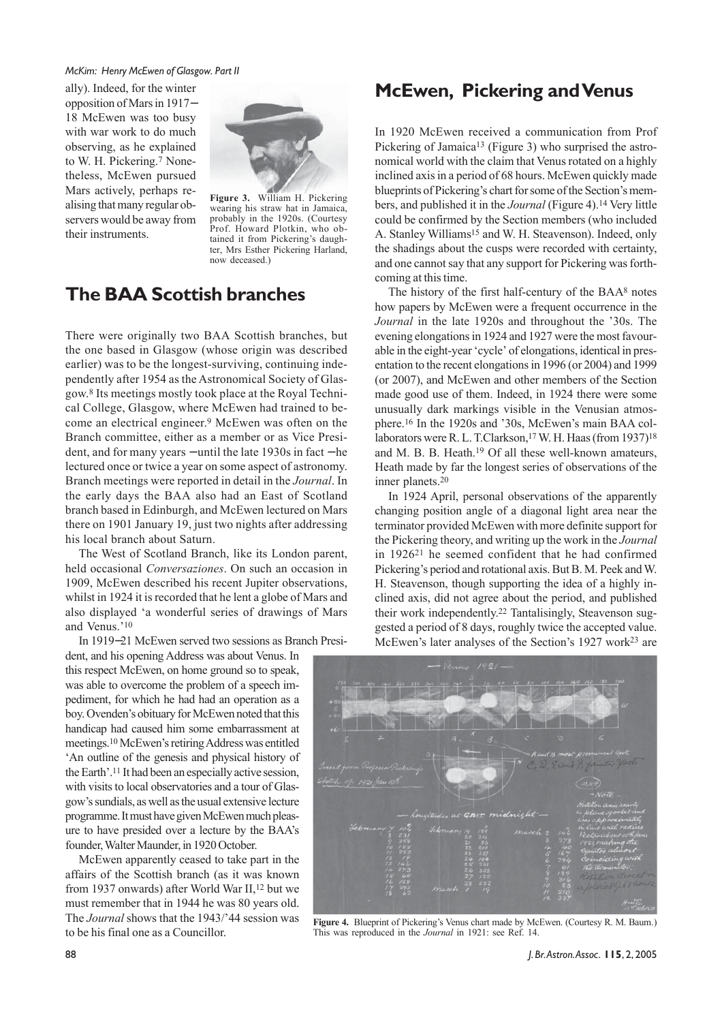ally). Indeed, for the winter opposition of Mars in 1917− 18 McEwen was too busy with war work to do much observing, as he explained to W. H. Pickering.7 Nonetheless, McEwen pursued Mars actively, perhaps realising that many regular observers would be away from their instruments.



**Figure 3.** William H. Pickering wearing his straw hat in Jamaica, probably in the 1920s. (Courtesy Prof. Howard Plotkin, who obtained it from Pickering's daughter, Mrs Esther Pickering Harland, now deceased.)

## **The BAA Scottish branches**

There were originally two BAA Scottish branches, but the one based in Glasgow (whose origin was described earlier) was to be the longest-surviving, continuing independently after 1954 as the Astronomical Society of Glasgow.8 Its meetings mostly took place at the Royal Technical College, Glasgow, where McEwen had trained to become an electrical engineer.9 McEwen was often on the Branch committee, either as a member or as Vice President, and for many years − until the late 1930s in fact − he lectured once or twice a year on some aspect of astronomy. Branch meetings were reported in detail in the *Journal*. In the early days the BAA also had an East of Scotland branch based in Edinburgh, and McEwen lectured on Mars there on 1901 January 19, just two nights after addressing his local branch about Saturn.

The West of Scotland Branch, like its London parent, held occasional *Conversaziones*. On such an occasion in 1909, McEwen described his recent Jupiter observations, whilst in 1924 it is recorded that he lent a globe of Mars and also displayed 'a wonderful series of drawings of Mars and Venus.'10

In 1919−21 McEwen served two sessions as Branch Presi-

dent, and his opening Address was about Venus. In this respect McEwen, on home ground so to speak, was able to overcome the problem of a speech impediment, for which he had had an operation as a boy. Ovenden's obituary for McEwen noted that this handicap had caused him some embarrassment at meetings.10 McEwen's retiring Address was entitled 'An outline of the genesis and physical history of the Earth'.11 It had been an especially active session, with visits to local observatories and a tour of Glasgow's sundials, as well as the usual extensive lecture programme. It must have given McEwen much pleasure to have presided over a lecture by the BAA's

founder, Walter Maunder, in 1920 October.

to be his final one as a Councillor.

McEwen apparently ceased to take part in the affairs of the Scottish branch (as it was known from 1937 onwards) after World War II,12 but we must remember that in 1944 he was 80 years old. The *Journal* shows that the 1943/'44 session was

#### **McEwen, Pickering and Venus**

In 1920 McEwen received a communication from Prof Pickering of Jamaica13 (Figure 3) who surprised the astronomical world with the claim that Venus rotated on a highly inclined axis in a period of 68 hours. McEwen quickly made blueprints of Pickering's chart for some of the Section's members, and published it in the *Journal* (Figure 4).14 Very little could be confirmed by the Section members (who included A. Stanley Williams15 and W. H. Steavenson). Indeed, only the shadings about the cusps were recorded with certainty, and one cannot say that any support for Pickering was forthcoming at this time.

The history of the first half-century of the BAA8 notes how papers by McEwen were a frequent occurrence in the *Journal* in the late 1920s and throughout the '30s. The evening elongations in 1924 and 1927 were the most favourable in the eight-year 'cycle' of elongations, identical in presentation to the recent elongations in 1996 (or 2004) and 1999 (or 2007), and McEwen and other members of the Section made good use of them. Indeed, in 1924 there were some unusually dark markings visible in the Venusian atmosphere.16 In the 1920s and '30s, McEwen's main BAA collaborators were R. L. T.Clarkson,<sup>17</sup> W. H. Haas (from 1937)<sup>18</sup> and M. B. B. Heath.19 Of all these well-known amateurs, Heath made by far the longest series of observations of the inner planets.20

In 1924 April, personal observations of the apparently changing position angle of a diagonal light area near the terminator provided McEwen with more definite support for the Pickering theory, and writing up the work in the *Journal* in 192621 he seemed confident that he had confirmed Pickering's period and rotational axis. But B. M. Peek and W. H. Steavenson, though supporting the idea of a highly inclined axis, did not agree about the period, and published their work independently.22 Tantalisingly, Steavenson suggested a period of 8 days, roughly twice the accepted value. McEwen's later analyses of the Section's 1927 work<sup>23</sup> are



**Figure 4.** Blueprint of Pickering's Venus chart made by McEwen. (Courtesy R. M. Baum.) This was reproduced in the *Journal* in 1921: see Ref. 14.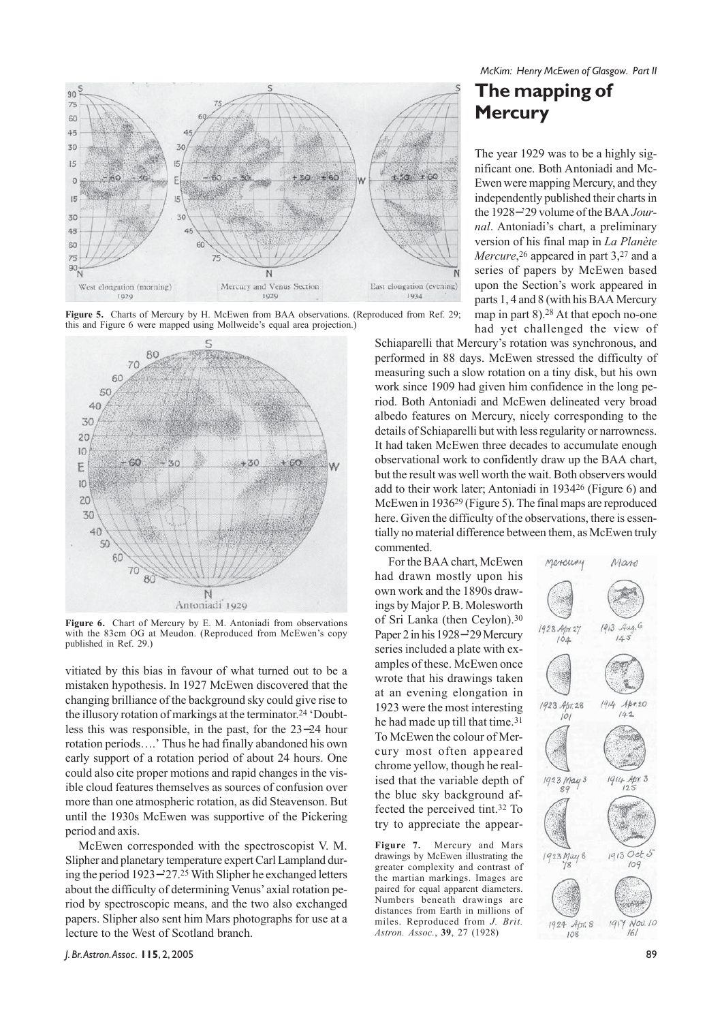





**Figure 6.** Chart of Mercury by E. M. Antoniadi from observations with the 83cm OG at Meudon. (Reproduced from McEwen's copy published in Ref. 29.)

vitiated by this bias in favour of what turned out to be a mistaken hypothesis. In 1927 McEwen discovered that the changing brilliance of the background sky could give rise to the illusory rotation of markings at the terminator.24 'Doubtless this was responsible, in the past, for the 23−24 hour rotation periods….' Thus he had finally abandoned his own early support of a rotation period of about 24 hours. One could also cite proper motions and rapid changes in the visible cloud features themselves as sources of confusion over more than one atmospheric rotation, as did Steavenson. But until the 1930s McEwen was supportive of the Pickering period and axis.

McEwen corresponded with the spectroscopist V. M. Slipher and planetary temperature expert Carl Lampland during the period 1923−'27.25 With Slipher he exchanged letters about the difficulty of determining Venus' axial rotation period by spectroscopic means, and the two also exchanged papers. Slipher also sent him Mars photographs for use at a lecture to the West of Scotland branch.

*McKim: Henry McEwen of Glasgow. Part II*

## **The mapping of Mercury**

The year 1929 was to be a highly significant one. Both Antoniadi and Mc-Ewen were mapping Mercury, and they independently published their charts in the 1928−'29 volume of the BAA *Journal*. Antoniadi's chart, a preliminary version of his final map in *La Planète Mercure*,<sup>26</sup> appeared in part 3,<sup>27</sup> and a series of papers by McEwen based upon the Section's work appeared in parts 1, 4 and 8 (with his BAA Mercury map in part 8).28 At that epoch no-one had yet challenged the view of

Schiaparelli that Mercury's rotation was synchronous, and performed in 88 days. McEwen stressed the difficulty of measuring such a slow rotation on a tiny disk, but his own work since 1909 had given him confidence in the long period. Both Antoniadi and McEwen delineated very broad albedo features on Mercury, nicely corresponding to the details of Schiaparelli but with less regularity or narrowness. It had taken McEwen three decades to accumulate enough observational work to confidently draw up the BAA chart, but the result was well worth the wait. Both observers would add to their work later; Antoniadi in 193426 (Figure 6) and McEwen in 193629 (Figure 5). The final maps are reproduced here. Given the difficulty of the observations, there is essentially no material difference between them, as McEwen truly commented.

For the BAA chart, McEwen had drawn mostly upon his own work and the 1890s drawings by Major P. B. Molesworth of Sri Lanka (then Ceylon).30 Paper 2 in his 1928−'29 Mercury series included a plate with examples of these. McEwen once wrote that his drawings taken at an evening elongation in 1923 were the most interesting he had made up till that time.<sup>31</sup> To McEwen the colour of Mercury most often appeared chrome yellow, though he realised that the variable depth of the blue sky background affected the perceived tint.32 To try to appreciate the appear-

**Figure 7.** Mercury and Mars drawings by McEwen illustrating the greater complexity and contrast of the martian markings. Images are paired for equal apparent diameters. Numbers beneath drawings are distances from Earth in millions of miles. Reproduced from *J. Brit. Astron. Assoc.*, **39**, 27 (1928)

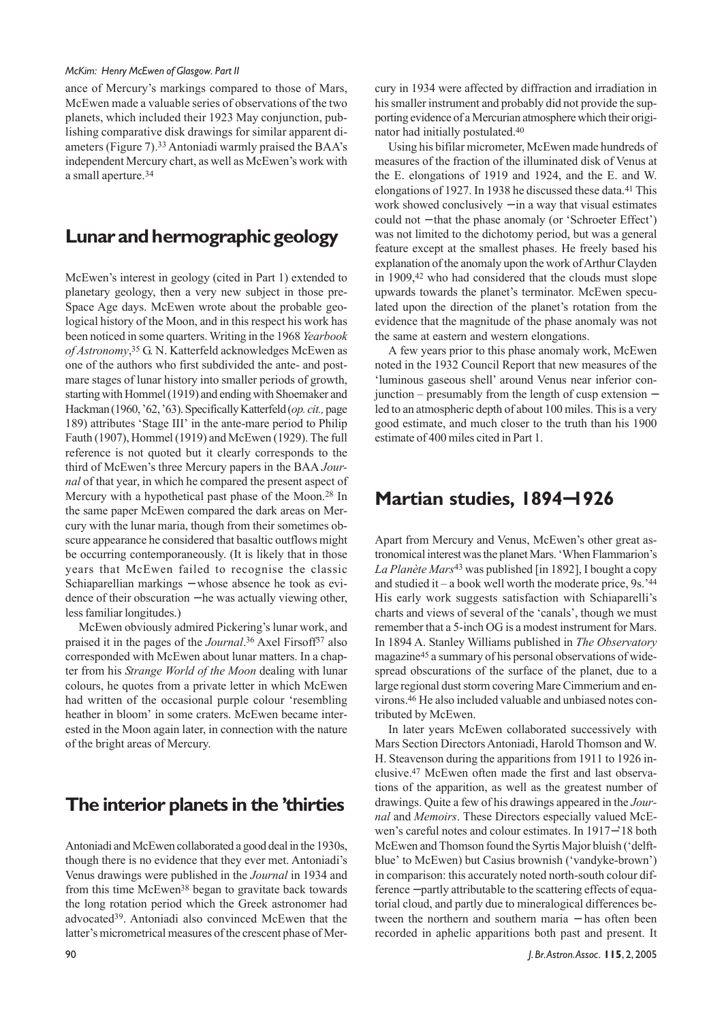ance of Mercury's markings compared to those of Mars, McEwen made a valuable series of observations of the two planets, which included their 1923 May conjunction, publishing comparative disk drawings for similar apparent diameters (Figure 7).33 Antoniadi warmly praised the BAA's independent Mercury chart, as well as McEwen's work with a small aperture.34

## **Lunar and hermographic geology**

McEwen's interest in geology (cited in Part 1) extended to planetary geology, then a very new subject in those pre-Space Age days. McEwen wrote about the probable geological history of the Moon, and in this respect his work has been noticed in some quarters. Writing in the 1968 *Yearbook of Astronomy*, 35 G. N. Katterfeld acknowledges McEwen as one of the authors who first subdivided the ante- and postmare stages of lunar history into smaller periods of growth, starting with Hommel (1919) and ending with Shoemaker and Hackman (1960, '62, '63). Specifically Katterfeld (*op. cit.,* page 189) attributes 'Stage III' in the ante-mare period to Philip Fauth (1907), Hommel (1919) and McEwen (1929). The full reference is not quoted but it clearly corresponds to the third of McEwen's three Mercury papers in the BAA *Journal* of that year, in which he compared the present aspect of Mercury with a hypothetical past phase of the Moon.28 In the same paper McEwen compared the dark areas on Mercury with the lunar maria, though from their sometimes obscure appearance he considered that basaltic outflows might be occurring contemporaneously. (It is likely that in those years that McEwen failed to recognise the classic Schiaparellian markings − whose absence he took as evidence of their obscuration − he was actually viewing other, less familiar longitudes.)

McEwen obviously admired Pickering's lunar work, and praised it in the pages of the *Journal*.36 Axel Firsoff37 also corresponded with McEwen about lunar matters. In a chapter from his *Strange World of the Moon* dealing with lunar colours, he quotes from a private letter in which McEwen had written of the occasional purple colour 'resembling heather in bloom' in some craters. McEwen became interested in the Moon again later, in connection with the nature of the bright areas of Mercury.

#### **The interior planets in the 'thirties**

Antoniadi and McEwen collaborated a good deal in the 1930s, though there is no evidence that they ever met. Antoniadi's Venus drawings were published in the *Journal* in 1934 and from this time McEwen38 began to gravitate back towards the long rotation period which the Greek astronomer had advocated39. Antoniadi also convinced McEwen that the latter's micrometrical measures of the crescent phase of Mercury in 1934 were affected by diffraction and irradiation in his smaller instrument and probably did not provide the supporting evidence of a Mercurian atmosphere which their originator had initially postulated.40

Using his bifilar micrometer, McEwen made hundreds of measures of the fraction of the illuminated disk of Venus at the E. elongations of 1919 and 1924, and the E. and W. elongations of 1927. In 1938 he discussed these data.41 This work showed conclusively − in a way that visual estimates could not − that the phase anomaly (or 'Schroeter Effect') was not limited to the dichotomy period, but was a general feature except at the smallest phases. He freely based his explanation of the anomaly upon the work of Arthur Clayden in 1909,42 who had considered that the clouds must slope upwards towards the planet's terminator. McEwen speculated upon the direction of the planet's rotation from the evidence that the magnitude of the phase anomaly was not the same at eastern and western elongations.

A few years prior to this phase anomaly work, McEwen noted in the 1932 Council Report that new measures of the 'luminous gaseous shell' around Venus near inferior conjunction – presumably from the length of cusp extension − led to an atmospheric depth of about 100 miles. This is a very good estimate, and much closer to the truth than his 1900 estimate of 400 miles cited in Part 1.

#### **Martian studies, 1894**−**1926**

Apart from Mercury and Venus, McEwen's other great astronomical interest was the planet Mars. 'When Flammarion's *La Planète Mars*43 was published [in 1892], I bought a copy and studied it – a book well worth the moderate price,  $9s.^{44}$ His early work suggests satisfaction with Schiaparelli's charts and views of several of the 'canals', though we must remember that a 5-inch OG is a modest instrument for Mars. In 1894 A. Stanley Williams published in *The Observatory* magazine45 a summary of his personal observations of widespread obscurations of the surface of the planet, due to a large regional dust storm covering Mare Cimmerium and environs.46 He also included valuable and unbiased notes contributed by McEwen.

In later years McEwen collaborated successively with Mars Section Directors Antoniadi, Harold Thomson and W. H. Steavenson during the apparitions from 1911 to 1926 inclusive.47 McEwen often made the first and last observations of the apparition, as well as the greatest number of drawings. Quite a few of his drawings appeared in the *Journal* and *Memoirs*. These Directors especially valued McEwen's careful notes and colour estimates. In 1917−'18 both McEwen and Thomson found the Syrtis Major bluish ('delftblue' to McEwen) but Casius brownish ('vandyke-brown') in comparison: this accurately noted north-south colour difference − partly attributable to the scattering effects of equatorial cloud, and partly due to mineralogical differences between the northern and southern maria − has often been recorded in aphelic apparitions both past and present. It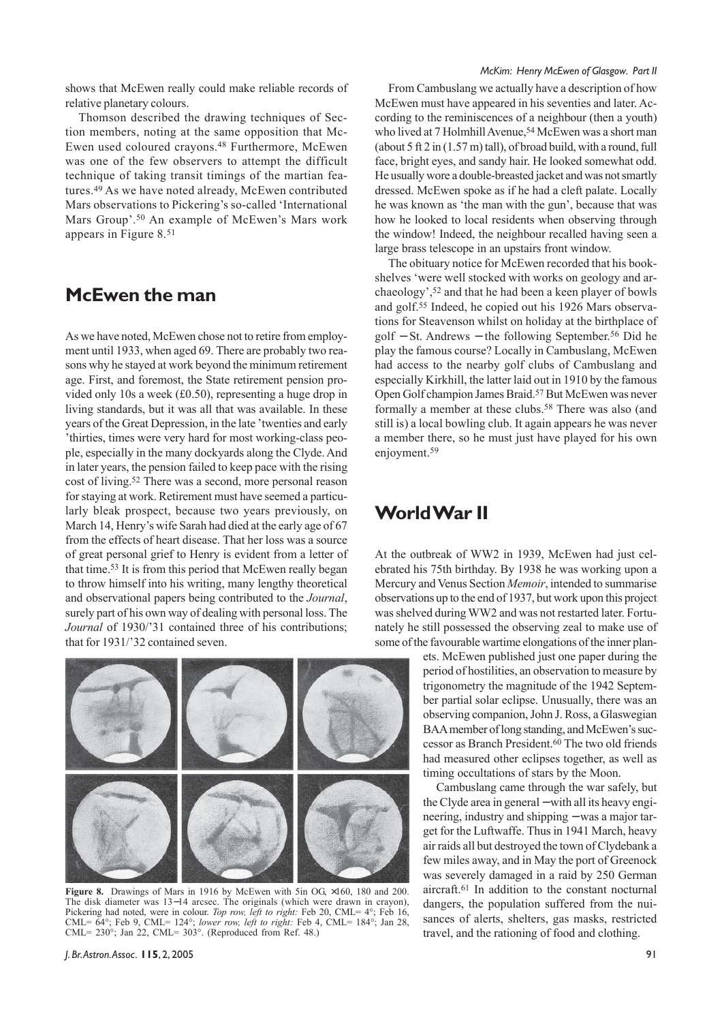shows that McEwen really could make reliable records of relative planetary colours.

Thomson described the drawing techniques of Section members, noting at the same opposition that Mc-Ewen used coloured crayons.48 Furthermore, McEwen was one of the few observers to attempt the difficult technique of taking transit timings of the martian features.49 As we have noted already, McEwen contributed Mars observations to Pickering's so-called 'International Mars Group'.50 An example of McEwen's Mars work appears in Figure 8.51

#### **McEwen the man**

As we have noted, McEwen chose not to retire from employment until 1933, when aged 69. There are probably two reasons why he stayed at work beyond the minimum retirement age. First, and foremost, the State retirement pension provided only 10s a week (£0.50), representing a huge drop in living standards, but it was all that was available. In these years of the Great Depression, in the late 'twenties and early 'thirties, times were very hard for most working-class people, especially in the many dockyards along the Clyde. And in later years, the pension failed to keep pace with the rising cost of living.52 There was a second, more personal reason for staying at work. Retirement must have seemed a particularly bleak prospect, because two years previously, on March 14, Henry's wife Sarah had died at the early age of 67 from the effects of heart disease. That her loss was a source of great personal grief to Henry is evident from a letter of that time.53 It is from this period that McEwen really began to throw himself into his writing, many lengthy theoretical and observational papers being contributed to the *Journal*, surely part of his own way of dealing with personal loss. The *Journal* of 1930/'31 contained three of his contributions; that for 1931/'32 contained seven.

From Cambuslang we actually have a description of how McEwen must have appeared in his seventies and later. According to the reminiscences of a neighbour (then a youth) who lived at 7 Holmhill Avenue,<sup>54</sup> McEwen was a short man (about 5 ft 2 in (1.57 m) tall), of broad build, with a round, full face, bright eyes, and sandy hair. He looked somewhat odd. He usually wore a double-breasted jacket and was not smartly dressed. McEwen spoke as if he had a cleft palate. Locally he was known as 'the man with the gun', because that was how he looked to local residents when observing through the window! Indeed, the neighbour recalled having seen a large brass telescope in an upstairs front window.

The obituary notice for McEwen recorded that his bookshelves 'were well stocked with works on geology and archaeology',52 and that he had been a keen player of bowls and golf.55 Indeed, he copied out his 1926 Mars observations for Steavenson whilst on holiday at the birthplace of golf − St. Andrews − the following September.56 Did he play the famous course? Locally in Cambuslang, McEwen had access to the nearby golf clubs of Cambuslang and especially Kirkhill, the latter laid out in 1910 by the famous Open Golf champion James Braid.57 But McEwen was never formally a member at these clubs.<sup>58</sup> There was also (and still is) a local bowling club. It again appears he was never a member there, so he must just have played for his own enjoyment.<sup>59</sup>

#### **World War II**

At the outbreak of WW2 in 1939, McEwen had just celebrated his 75th birthday. By 1938 he was working upon a Mercury and Venus Section *Memoir*, intended to summarise observations up to the end of 1937, but work upon this project was shelved during WW2 and was not restarted later. Fortunately he still possessed the observing zeal to make use of some of the favourable wartime elongations of the inner plan-

> ets. McEwen published just one paper during the period of hostilities, an observation to measure by trigonometry the magnitude of the 1942 September partial solar eclipse. Unusually, there was an observing companion, John J. Ross, a Glaswegian BAA member of long standing, and McEwen's successor as Branch President.60 The two old friends had measured other eclipses together, as well as timing occultations of stars by the Moon.

> Cambuslang came through the war safely, but the Clyde area in general − with all its heavy engineering, industry and shipping – was a major target for the Luftwaffe. Thus in 1941 March, heavy air raids all but destroyed the town of Clydebank a few miles away, and in May the port of Greenock was severely damaged in a raid by 250 German aircraft.61 In addition to the constant nocturnal dangers, the population suffered from the nuisances of alerts, shelters, gas masks, restricted travel, and the rationing of food and clothing.



**Figure 8.** Drawings of Mars in 1916 by McEwen with 5in OG, ×160, 180 and 200. The disk diameter was 13−14 arcsec. The originals (which were drawn in crayon). Pickering had noted, were in colour. *Top row, left to right:* Feb 20, CML=  $4^{\circ}$ ; Feb 16, CML= 64°; Feb 9, CML= 124°; *lower row, left to right:* Feb 4, CML= 184°; Jan 28, CML= 230°; Jan 22, CML= 303°. (Reproduced from Ref. 48.)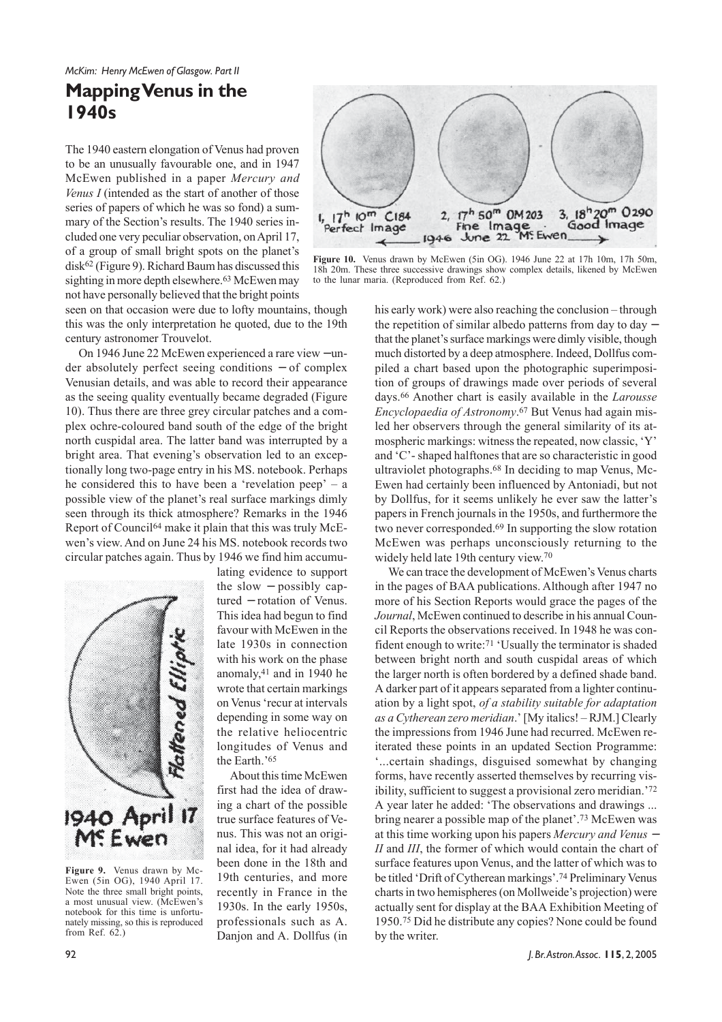### **Mapping Venus in the 1940s**

The 1940 eastern elongation of Venus had proven to be an unusually favourable one, and in 1947 McEwen published in a paper *Mercury and Venus I* (intended as the start of another of those series of papers of which he was so fond) a summary of the Section's results. The 1940 series included one very peculiar observation, on April 17, of a group of small bright spots on the planet's disk62 (Figure 9). Richard Baum has discussed this sighting in more depth elsewhere.<sup>63</sup> McEwen may not have personally believed that the bright points

seen on that occasion were due to lofty mountains, though this was the only interpretation he quoted, due to the 19th century astronomer Trouvelot.

On 1946 June 22 McEwen experienced a rare view − under absolutely perfect seeing conditions − of complex Venusian details, and was able to record their appearance as the seeing quality eventually became degraded (Figure 10). Thus there are three grey circular patches and a complex ochre-coloured band south of the edge of the bright north cuspidal area. The latter band was interrupted by a bright area. That evening's observation led to an exceptionally long two-page entry in his MS. notebook. Perhaps he considered this to have been a 'revelation peep' – a possible view of the planet's real surface markings dimly seen through its thick atmosphere? Remarks in the 1946 Report of Council64 make it plain that this was truly McEwen's view. And on June 24 his MS. notebook records two circular patches again. Thus by 1946 we find him accumu-



**Figure 9.** Venus drawn by Mc-Ewen (5in OG), 1940 April 17. Note the three small bright points, a most unusual view. (McEwen's notebook for this time is unfortunately missing, so this is reproduced from Ref. 62.)

lating evidence to support the slow − possibly captured − rotation of Venus. This idea had begun to find favour with McEwen in the late 1930s in connection with his work on the phase anomaly,41 and in 1940 he wrote that certain markings on Venus 'recur at intervals depending in some way on the relative heliocentric longitudes of Venus and the Earth.'65

About this time McEwen first had the idea of drawing a chart of the possible true surface features of Venus. This was not an original idea, for it had already been done in the 18th and 19th centuries, and more recently in France in the 1930s. In the early 1950s, professionals such as A. Danjon and A. Dollfus (in



**Figure 10.** Venus drawn by McEwen (5in OG). 1946 June 22 at 17h 10m, 17h 50m, 18h 20m. These three successive drawings show complex details, likened by McEwen to the lunar maria. (Reproduced from Ref. 62.)

his early work) were also reaching the conclusion – through the repetition of similar albedo patterns from day to day − that the planet's surface markings were dimly visible, though much distorted by a deep atmosphere. Indeed, Dollfus compiled a chart based upon the photographic superimposition of groups of drawings made over periods of several days.66 Another chart is easily available in the *Larousse Encyclopaedia of Astronomy*.67 But Venus had again misled her observers through the general similarity of its atmospheric markings: witness the repeated, now classic, 'Y' and 'C'- shaped halftones that are so characteristic in good ultraviolet photographs.68 In deciding to map Venus, Mc-Ewen had certainly been influenced by Antoniadi, but not by Dollfus, for it seems unlikely he ever saw the latter's papers in French journals in the 1950s, and furthermore the two never corresponded.69 In supporting the slow rotation McEwen was perhaps unconsciously returning to the widely held late 19th century view.70

We can trace the development of McEwen's Venus charts in the pages of BAA publications. Although after 1947 no more of his Section Reports would grace the pages of the *Journal*, McEwen continued to describe in his annual Council Reports the observations received. In 1948 he was confident enough to write:71 'Usually the terminator is shaded between bright north and south cuspidal areas of which the larger north is often bordered by a defined shade band. A darker part of it appears separated from a lighter continuation by a light spot, *of a stability suitable for adaptation as a Cytherean zero meridian*.' [My italics! – RJM.] Clearly the impressions from 1946 June had recurred. McEwen reiterated these points in an updated Section Programme: '...certain shadings, disguised somewhat by changing forms, have recently asserted themselves by recurring visibility, sufficient to suggest a provisional zero meridian.'72 A year later he added: 'The observations and drawings ... bring nearer a possible map of the planet'.73 McEwen was at this time working upon his papers *Mercury and Venus* <sup>−</sup> *II* and *III*, the former of which would contain the chart of surface features upon Venus, and the latter of which was to be titled 'Drift of Cytherean markings'.74 Preliminary Venus charts in two hemispheres (on Mollweide's projection) were actually sent for display at the BAA Exhibition Meeting of 1950.75 Did he distribute any copies? None could be found by the writer.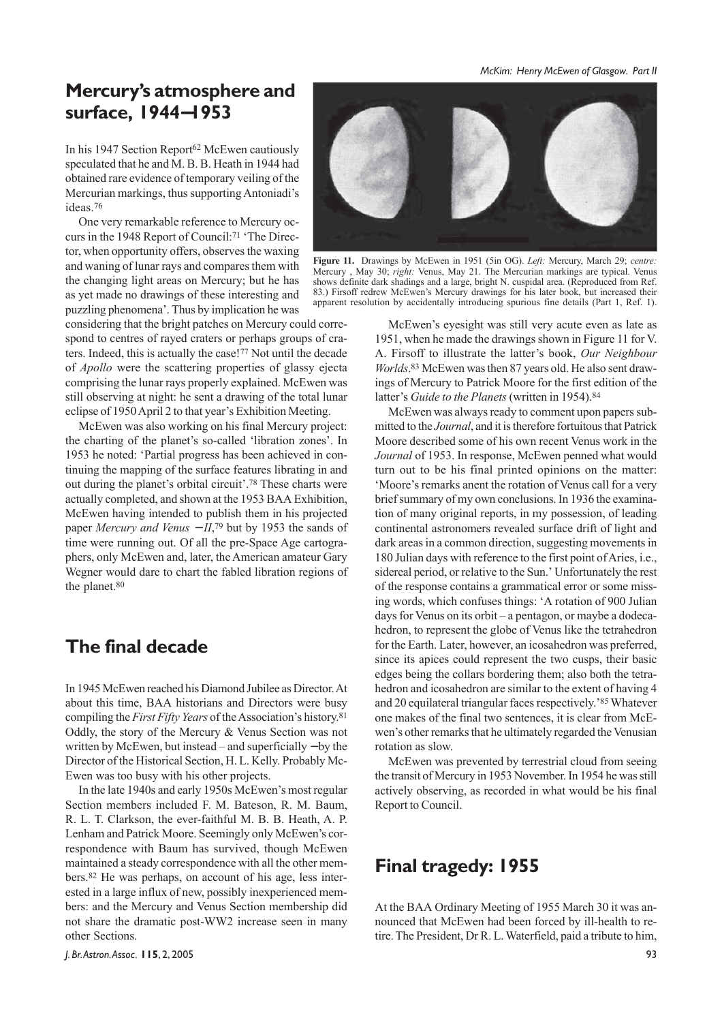## **Mercury's atmosphere and surface, 1944**−**1953**

In his 1947 Section Report<sup>62</sup> McEwen cautiously speculated that he and M. B. B. Heath in 1944 had obtained rare evidence of temporary veiling of the Mercurian markings, thus supporting Antoniadi's ideas.76

One very remarkable reference to Mercury occurs in the 1948 Report of Council:<sup>71</sup> 'The Director, when opportunity offers, observes the waxing and waning of lunar rays and compares them with the changing light areas on Mercury; but he has as yet made no drawings of these interesting and puzzling phenomena'. Thus by implication he was

considering that the bright patches on Mercury could correspond to centres of rayed craters or perhaps groups of craters. Indeed, this is actually the case!77 Not until the decade of *Apollo* were the scattering properties of glassy ejecta comprising the lunar rays properly explained. McEwen was still observing at night: he sent a drawing of the total lunar eclipse of 1950 April 2 to that year's Exhibition Meeting.

McEwen was also working on his final Mercury project: the charting of the planet's so-called 'libration zones'. In 1953 he noted: 'Partial progress has been achieved in continuing the mapping of the surface features librating in and out during the planet's orbital circuit'.78 These charts were actually completed, and shown at the 1953 BAA Exhibition, McEwen having intended to publish them in his projected paper *Mercury and Venus − II*,<sup>79</sup> but by 1953 the sands of time were running out. Of all the pre-Space Age cartographers, only McEwen and, later, the American amateur Gary Wegner would dare to chart the fabled libration regions of the planet.<sup>80</sup>

#### **The final decade**

In 1945 McEwen reached his Diamond Jubilee as Director. At about this time, BAA historians and Directors were busy compiling the *First Fifty Years* of the Association's history.81 Oddly, the story of the Mercury & Venus Section was not written by McEwen, but instead – and superficially − by the Director of the Historical Section, H. L. Kelly. Probably Mc-Ewen was too busy with his other projects.

In the late 1940s and early 1950s McEwen's most regular Section members included F. M. Bateson, R. M. Baum, R. L. T. Clarkson, the ever-faithful M. B. B. Heath, A. P. Lenham and Patrick Moore. Seemingly only McEwen's correspondence with Baum has survived, though McEwen maintained a steady correspondence with all the other members.82 He was perhaps, on account of his age, less interested in a large influx of new, possibly inexperienced members: and the Mercury and Venus Section membership did not share the dramatic post-WW2 increase seen in many other Sections.



**Figure 11.** Drawings by McEwen in 1951 (5in OG). *Left:* Mercury, March 29; *centre:* Mercury , May 30; *right:* Venus, May 21. The Mercurian markings are typical. Venus shows definite dark shadings and a large, bright N. cuspidal area. (Reproduced from Ref. 83.) Firsoff redrew McEwen's Mercury drawings for his later book, but increased their apparent resolution by accidentally introducing spurious fine details (Part 1, Ref. 1).

McEwen's eyesight was still very acute even as late as 1951, when he made the drawings shown in Figure 11 for V. A. Firsoff to illustrate the latter's book, *Our Neighbour Worlds*.83 McEwen was then 87 years old. He also sent drawings of Mercury to Patrick Moore for the first edition of the latter's *Guide to the Planets* (written in 1954).<sup>84</sup>

McEwen was always ready to comment upon papers submitted to the *Journal*, and it is therefore fortuitous that Patrick Moore described some of his own recent Venus work in the *Journal* of 1953. In response, McEwen penned what would turn out to be his final printed opinions on the matter: 'Moore's remarks anent the rotation of Venus call for a very brief summary of my own conclusions. In 1936 the examination of many original reports, in my possession, of leading continental astronomers revealed surface drift of light and dark areas in a common direction, suggesting movements in 180 Julian days with reference to the first point of Aries, i.e., sidereal period, or relative to the Sun.' Unfortunately the rest of the response contains a grammatical error or some missing words, which confuses things: 'A rotation of 900 Julian days for Venus on its orbit – a pentagon, or maybe a dodecahedron, to represent the globe of Venus like the tetrahedron for the Earth. Later, however, an icosahedron was preferred, since its apices could represent the two cusps, their basic edges being the collars bordering them; also both the tetrahedron and icosahedron are similar to the extent of having 4 and 20 equilateral triangular faces respectively.'85 Whatever one makes of the final two sentences, it is clear from McEwen's other remarks that he ultimately regarded the Venusian rotation as slow.

McEwen was prevented by terrestrial cloud from seeing the transit of Mercury in 1953 November. In 1954 he was still actively observing, as recorded in what would be his final Report to Council.

#### **Final tragedy: 1955**

At the BAA Ordinary Meeting of 1955 March 30 it was announced that McEwen had been forced by ill-health to retire. The President, Dr R. L. Waterfield, paid a tribute to him,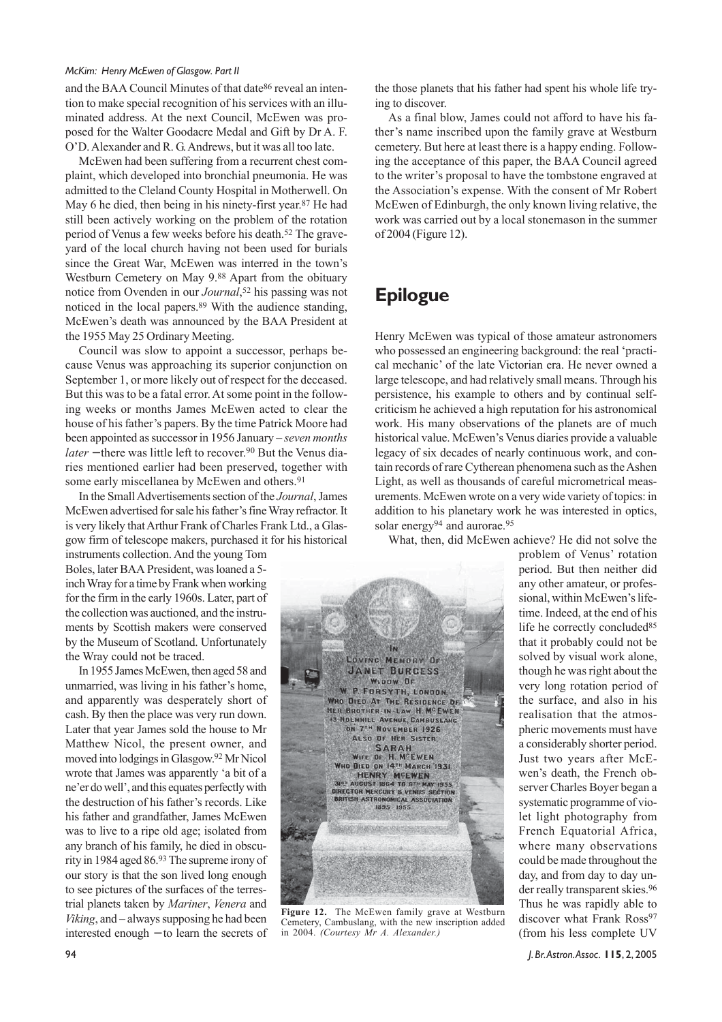and the BAA Council Minutes of that date86 reveal an intention to make special recognition of his services with an illuminated address. At the next Council, McEwen was proposed for the Walter Goodacre Medal and Gift by Dr A. F. O'D. Alexander and R. G. Andrews, but it was all too late.

McEwen had been suffering from a recurrent chest complaint, which developed into bronchial pneumonia. He was admitted to the Cleland County Hospital in Motherwell. On May 6 he died, then being in his ninety-first year.87 He had still been actively working on the problem of the rotation period of Venus a few weeks before his death.52 The graveyard of the local church having not been used for burials since the Great War, McEwen was interred in the town's Westburn Cemetery on May 9.88 Apart from the obituary notice from Ovenden in our *Journal*,52 his passing was not noticed in the local papers.89 With the audience standing, McEwen's death was announced by the BAA President at the 1955 May 25 Ordinary Meeting.

Council was slow to appoint a successor, perhaps because Venus was approaching its superior conjunction on September 1, or more likely out of respect for the deceased. But this was to be a fatal error. At some point in the following weeks or months James McEwen acted to clear the house of his father's papers. By the time Patrick Moore had been appointed as successor in 1956 January – *seven months later* − there was little left to recover.<sup>90</sup> But the Venus diaries mentioned earlier had been preserved, together with some early miscellanea by McEwen and others.<sup>91</sup>

In the Small Advertisements section of the *Journal*, James McEwen advertised for sale his father's fine Wray refractor. It is very likely that Arthur Frank of Charles Frank Ltd., a Glasgow firm of telescope makers, purchased it for his historical

instruments collection. And the young Tom Boles, later BAA President, was loaned a 5 inch Wray for a time by Frank when working for the firm in the early 1960s. Later, part of the collection was auctioned, and the instruments by Scottish makers were conserved by the Museum of Scotland. Unfortunately the Wray could not be traced.

In 1955 James McEwen, then aged 58 and unmarried, was living in his father's home, and apparently was desperately short of cash. By then the place was very run down. Later that year James sold the house to Mr Matthew Nicol, the present owner, and moved into lodgings in Glasgow.92 Mr Nicol wrote that James was apparently 'a bit of a ne'er do well', and this equates perfectly with the destruction of his father's records. Like his father and grandfather, James McEwen was to live to a ripe old age; isolated from any branch of his family, he died in obscurity in 1984 aged 86.93 The supreme irony of our story is that the son lived long enough to see pictures of the surfaces of the terrestrial planets taken by *Mariner*, *Venera* and *Viking*, and – always supposing he had been interested enough − to learn the secrets of the those planets that his father had spent his whole life trying to discover.

As a final blow, James could not afford to have his father's name inscribed upon the family grave at Westburn cemetery. But here at least there is a happy ending. Following the acceptance of this paper, the BAA Council agreed to the writer's proposal to have the tombstone engraved at the Association's expense. With the consent of Mr Robert McEwen of Edinburgh, the only known living relative, the work was carried out by a local stonemason in the summer of 2004 (Figure 12).

## **Epilogue**

Henry McEwen was typical of those amateur astronomers who possessed an engineering background: the real 'practical mechanic' of the late Victorian era. He never owned a large telescope, and had relatively small means. Through his persistence, his example to others and by continual selfcriticism he achieved a high reputation for his astronomical work. His many observations of the planets are of much historical value. McEwen's Venus diaries provide a valuable legacy of six decades of nearly continuous work, and contain records of rare Cytherean phenomena such as the Ashen Light, as well as thousands of careful micrometrical measurements. McEwen wrote on a very wide variety of topics: in addition to his planetary work he was interested in optics, solar energy<sup>94</sup> and aurorae.<sup>95</sup>

What, then, did McEwen achieve? He did not solve the



**Figure 12.** The McEwen family grave at Westburn Cemetery, Cambuslang, with the new inscription added in 2004. *(Courtesy Mr A. Alexander.)*

problem of Venus' rotation period. But then neither did any other amateur, or professional, within McEwen's lifetime. Indeed, at the end of his life he correctly concluded<sup>85</sup> that it probably could not be solved by visual work alone, though he was right about the very long rotation period of the surface, and also in his realisation that the atmospheric movements must have a considerably shorter period. Just two years after McEwen's death, the French observer Charles Boyer began a systematic programme of violet light photography from French Equatorial Africa, where many observations could be made throughout the day, and from day to day under really transparent skies.<sup>96</sup> Thus he was rapidly able to discover what Frank Ross<sup>97</sup> (from his less complete UV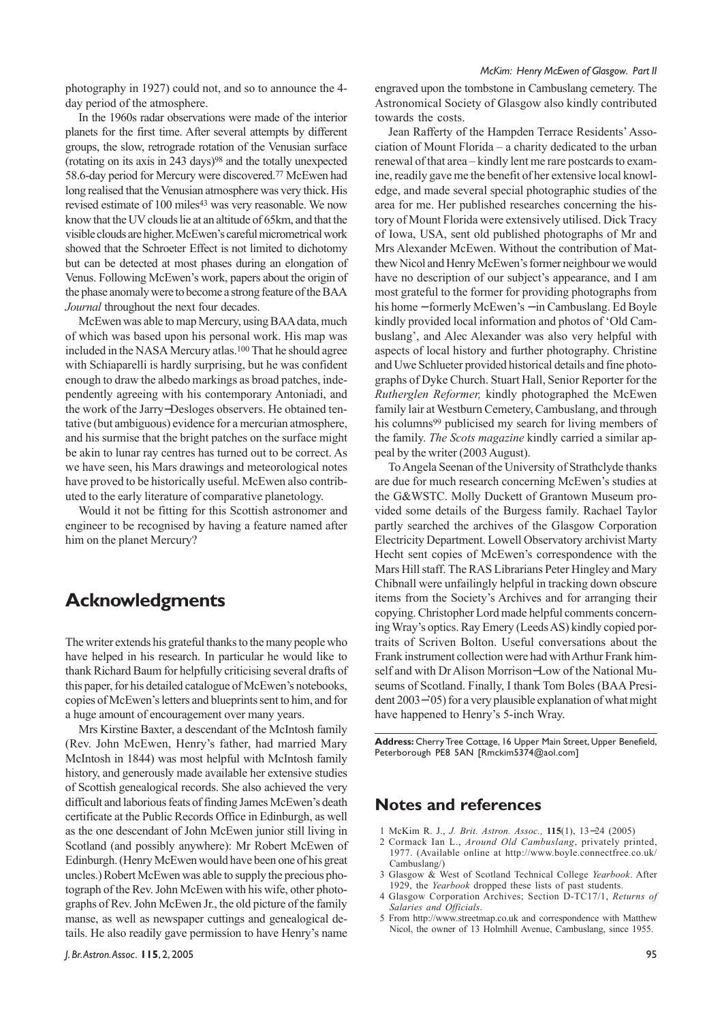photography in 1927) could not, and so to announce the 4 day period of the atmosphere.

In the 1960s radar observations were made of the interior planets for the first time. After several attempts by different groups, the slow, retrograde rotation of the Venusian surface (rotating on its axis in 243 days)98 and the totally unexpected 58.6-day period for Mercury were discovered.77 McEwen had long realised that the Venusian atmosphere was very thick. His revised estimate of 100 miles<sup>43</sup> was very reasonable. We now know that the UV clouds lie at an altitude of 65km, and that the visible clouds are higher. McEwen's careful micrometrical work showed that the Schroeter Effect is not limited to dichotomy but can be detected at most phases during an elongation of Venus. Following McEwen's work, papers about the origin of the phase anomaly were to become a strong feature of the BAA *Journal* throughout the next four decades.

McEwen was able to map Mercury, using BAA data, much of which was based upon his personal work. His map was included in the NASA Mercury atlas.100 That he should agree with Schiaparelli is hardly surprising, but he was confident enough to draw the albedo markings as broad patches, independently agreeing with his contemporary Antoniadi, and the work of the Jarry−Desloges observers. He obtained tentative (but ambiguous) evidence for a mercurian atmosphere, and his surmise that the bright patches on the surface might be akin to lunar ray centres has turned out to be correct. As we have seen, his Mars drawings and meteorological notes have proved to be historically useful. McEwen also contributed to the early literature of comparative planetology.

Would it not be fitting for this Scottish astronomer and engineer to be recognised by having a feature named after him on the planet Mercury?

#### **Acknowledgments**

The writer extends his grateful thanks to the many people who have helped in his research. In particular he would like to thank Richard Baum for helpfully criticising several drafts of this paper, for his detailed catalogue of McEwen's notebooks, copies of McEwen's letters and blueprints sent to him, and for a huge amount of encouragement over many years.

Mrs Kirstine Baxter, a descendant of the McIntosh family (Rev. John McEwen, Henry's father, had married Mary McIntosh in 1844) was most helpful with McIntosh family history, and generously made available her extensive studies of Scottish genealogical records. She also achieved the very difficult and laborious feats of finding James McEwen's death certificate at the Public Records Office in Edinburgh, as well as the one descendant of John McEwen junior still living in Scotland (and possibly anywhere): Mr Robert McEwen of Edinburgh. (Henry McEwen would have been one of his great uncles.) Robert McEwen was able to supply the precious photograph of the Rev. John McEwen with his wife, other photographs of Rev. John McEwen Jr., the old picture of the family manse, as well as newspaper cuttings and genealogical details. He also readily gave permission to have Henry's name engraved upon the tombstone in Cambuslang cemetery. The Astronomical Society of Glasgow also kindly contributed towards the costs.

Jean Rafferty of the Hampden Terrace Residents' Association of Mount Florida – a charity dedicated to the urban renewal of that area – kindly lent me rare postcards to examine, readily gave me the benefit of her extensive local knowledge, and made several special photographic studies of the area for me. Her published researches concerning the history of Mount Florida were extensively utilised. Dick Tracy of Iowa, USA, sent old published photographs of Mr and Mrs Alexander McEwen. Without the contribution of Matthew Nicol and Henry McEwen's former neighbour we would have no description of our subject's appearance, and I am most grateful to the former for providing photographs from his home − formerly McEwen's − in Cambuslang. Ed Boyle kindly provided local information and photos of 'Old Cambuslang', and Alec Alexander was also very helpful with aspects of local history and further photography. Christine and Uwe Schlueter provided historical details and fine photographs of Dyke Church. Stuart Hall, Senior Reporter for the *Rutherglen Reformer,* kindly photographed the McEwen family lair at Westburn Cemetery, Cambuslang, and through his columns<sup>99</sup> publicised my search for living members of the family. *The Scots magazine* kindly carried a similar appeal by the writer (2003 August).

To Angela Seenan of the University of Strathclyde thanks are due for much research concerning McEwen's studies at the G&WSTC. Molly Duckett of Grantown Museum provided some details of the Burgess family. Rachael Taylor partly searched the archives of the Glasgow Corporation Electricity Department. Lowell Observatory archivist Marty Hecht sent copies of McEwen's correspondence with the Mars Hill staff. The RAS Librarians Peter Hingley and Mary Chibnall were unfailingly helpful in tracking down obscure items from the Society's Archives and for arranging their copying. Christopher Lord made helpful comments concerning Wray's optics. Ray Emery (Leeds AS) kindly copied portraits of Scriven Bolton. Useful conversations about the Frank instrument collection were had with Arthur Frank himself and with Dr Alison Morrison−Low of the National Museums of Scotland. Finally, I thank Tom Boles (BAA President 2003−'05) for a very plausible explanation of what might have happened to Henry's 5-inch Wray.

**Address:** Cherry Tree Cottage, 16 Upper Main Street, Upper Benefield, Peterborough PE8 5AN [Rmckim5374@aol.com]

#### **Notes and references**

- 1 McKim R. J., *J. Brit. Astron. Assoc.,* **115**(1), 13−24 (2005)
- 2 Cormack Ian L., *Around Old Cambuslang*, privately printed, 1977. (Available online at http://www.boyle.connectfree.co.uk/ Cambuslang/)
- 3 Glasgow & West of Scotland Technical College *Yearbook*. After 1929, the *Yearbook* dropped these lists of past students.
- 4 Glasgow Corporation Archives; Section D-TC17/1, *Returns of Salaries and Officials*.
- 5 From http://www.streetmap.co.uk and correspondence with Matthew Nicol, the owner of 13 Holmhill Avenue, Cambuslang, since 1955.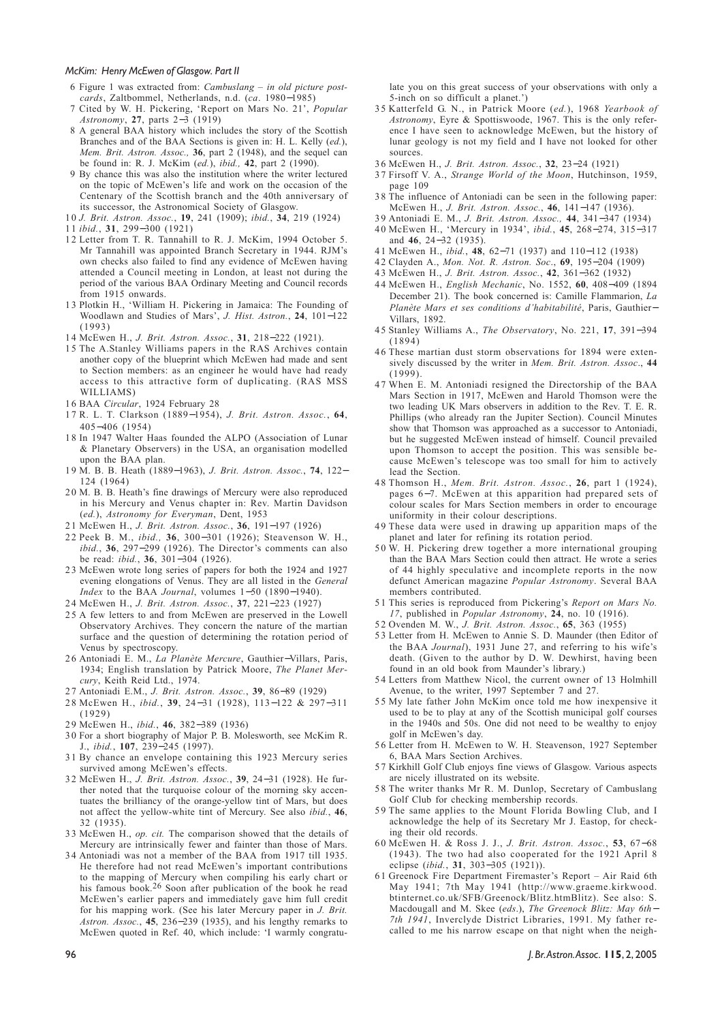- 6 Figure 1 was extracted from: *Cambuslang in old picture postcards*, Zaltbommel, Netherlands, n.d. (*ca*. 1980−1985)
- 7 Cited by W. H. Pickering, 'Report on Mars No. 21', *Popular Astronomy*, **27**, parts 2−3 (1919)
- 8 A general BAA history which includes the story of the Scottish Branches and of the BAA Sections is given in: H. L. Kelly (*ed.*), *Mem. Brit. Astron. Assoc.,* **36**, part 2 (1948), and the sequel can be found in: R. J. McKim (*ed.*), *ibid.,* **42**, part 2 (1990).
- 9 By chance this was also the institution where the writer lectured on the topic of McEwen's life and work on the occasion of the Centenary of the Scottish branch and the 40th anniversary of its successor, the Astronomical Society of Glasgow.

1 0 *J. Brit. Astron. Assoc.*, **19**, 241 (1909); *ibid.*, **34**, 219 (1924)

- 1 1 *ibid.*, **31**, 299−300 (1921)
- 1 2 Letter from T. R. Tannahill to R. J. McKim, 1994 October 5. Mr Tannahill was appointed Branch Secretary in 1944. RJM's own checks also failed to find any evidence of McEwen having attended a Council meeting in London, at least not during the period of the various BAA Ordinary Meeting and Council records from 1915 onwards.
- 13 Plotkin H., 'William H. Pickering in Jamaica: The Founding of Woodlawn and Studies of Mars', *J. Hist. Astron.*, **24**, 101−122 (1993)
- 14 McEwen H., *J. Brit. Astron. Assoc.*, **31**, 218−222 (1921).
- 1 5 The A.Stanley Williams papers in the RAS Archives contain another copy of the blueprint which McEwen had made and sent to Section members: as an engineer he would have had ready access to this attractive form of duplicating. (RAS MSS WILLIAMS)
- 16 BAA *Circular*, 1924 February 28
- 1 7 R. L. T. Clarkson (1889−1954), *J. Brit. Astron. Assoc.*, **64**, 405−406 (1954)
- 1 8 In 1947 Walter Haas founded the ALPO (Association of Lunar & Planetary Observers) in the USA, an organisation modelled upon the BAA plan.
- 19 M. B. B. Heath (1889−1963), *J. Brit. Astron. Assoc.*, **74**, 122− 124 (1964)
- 2 0 M. B. B. Heath's fine drawings of Mercury were also reproduced in his Mercury and Venus chapter in: Rev. Martin Davidson (*ed.*), *Astronomy for Everyman*, Dent, 1953
- 21 McEwen H., *J. Brit. Astron. Assoc.*, **36**, 191−197 (1926)
- 22 Peek B. M., *ibid.,* **36**, 300−301 (1926); Steavenson W. H., *ibid.*, **36**, 297−299 (1926). The Director's comments can also be read: *ibid.*, **36**, 301−304 (1926).
- 23 McEwen wrote long series of papers for both the 1924 and 1927 evening elongations of Venus. They are all listed in the *General Index* to the BAA *Journal*, volumes 1−50 (1890−1940).
- 24 McEwen H., *J. Brit. Astron. Assoc.*, **37**, 221−223 (1927)
- 25 A few letters to and from McEwen are preserved in the Lowell Observatory Archives. They concern the nature of the martian surface and the question of determining the rotation period of Venus by spectroscopy.
- 26 Antoniadi E. M., *La Planète Mercure*, Gauthier−Villars, Paris, 1934; English translation by Patrick Moore, *The Planet Mercury*, Keith Reid Ltd., 1974.
- 27 Antoniadi E.M., *J. Brit. Astron. Assoc.*, **39**, 86−89 (1929)
- 28 McEwen H., *ibid.*, **39**, 24−31 (1928), 113−122 & 297−311 (1929)
- 29 McEwen H., *ibid.*, **46**, 382−389 (1936)
- 3 0 For a short biography of Major P. B. Molesworth, see McKim R. J., *ibid.*, **107**, 239−245 (1997).
- 31 By chance an envelope containing this 1923 Mercury series survived among McEwen's effects.
- 32 McEwen H., *J. Brit. Astron. Assoc.*, **39**, 24−31 (1928). He further noted that the turquoise colour of the morning sky accentuates the brilliancy of the orange-yellow tint of Mars, but does not affect the yellow-white tint of Mercury. See also *ibid.*, **46**, 32 (1935).
- 33 McEwen H., *op. cit.* The comparison showed that the details of Mercury are intrinsically fewer and fainter than those of Mars.
- 34 Antoniadi was not a member of the BAA from 1917 till 1935. He therefore had not read McEwen's important contributions to the mapping of Mercury when compiling his early chart or his famous book.<sup>26</sup> Soon after publication of the book he read McEwen's earlier papers and immediately gave him full credit for his mapping work. (See his later Mercury paper in *J. Brit. Astron. Assoc.*, **45**, 236−239 (1935), and his lengthy remarks to McEwen quoted in Ref. 40, which include: 'I warmly congratu-

late you on this great success of your observations with only a 5-inch on so difficult a planet.')

- 3 5 Katterfeld G. N., in Patrick Moore (*ed.*), 1968 *Yearbook of Astronomy*, Eyre & Spottiswoode, 1967. This is the only reference I have seen to acknowledge McEwen, but the history of lunar geology is not my field and I have not looked for other sources.
- 36 McEwen H., *J. Brit. Astron. Assoc.*, **32**, 23−24 (1921)
- 3 7 Firsoff V. A., *Strange World of the Moon*, Hutchinson, 1959, page 109
- 3 8 The influence of Antoniadi can be seen in the following paper: McEwen H., *J. Brit. Astron. Assoc.*, **46**, 141−147 (1936).
- 39 Antoniadi E. M., *J. Brit. Astron. Assoc.,* **44**, 341−347 (1934) 40 McEwen H., 'Mercury in 1934', *ibid.*, **45**, 268−274, 315−317 and **46**, 24−32 (1935).
- 41 McEwen H., *ibid.*, **48**, 62−71 (1937) and 110−112 (1938)
- 42 Clayden A., *Mon. Not. R. Astron. Soc*., **69**, 195−204 (1909)
- 43 McEwen H., *J. Brit. Astron. Assoc.*, **42**, 361−362 (1932)
- 44 McEwen H., *English Mechanic*, No. 1552, **60**, 408−409 (1894 December 21). The book concerned is: Camille Flammarion, *La Planète Mars et ses conditions d'habitabilité*, Paris, Gauthier− Villars, 1892.
- 45 Stanley Williams A., *The Observatory*, No. 221, **17**, 391−394 (1894)
- 46 These martian dust storm observations for 1894 were extensively discussed by the writer in *Mem. Brit. Astron. Assoc*., **44** (1999).
- 4 7 When E. M. Antoniadi resigned the Directorship of the BAA Mars Section in 1917, McEwen and Harold Thomson were the two leading UK Mars observers in addition to the Rev. T. E. R. Phillips (who already ran the Jupiter Section). Council Minutes show that Thomson was approached as a successor to Antoniadi, but he suggested McEwen instead of himself. Council prevailed upon Thomson to accept the position. This was sensible because McEwen's telescope was too small for him to actively lead the Section.
- 48 Thomson H., *Mem. Brit. Astron. Assoc.*, **26**, part 1 (1924), pages 6−7. McEwen at this apparition had prepared sets of colour scales for Mars Section members in order to encourage uniformity in their colour descriptions.
- 49 These data were used in drawing up apparition maps of the planet and later for refining its rotation period.
- 5 0 W. H. Pickering drew together a more international grouping than the BAA Mars Section could then attract. He wrote a series of 44 highly speculative and incomplete reports in the now defunct American magazine *Popular Astronomy*. Several BAA members contributed.
- 5 1 This series is reproduced from Pickering's *Report on Mars No. 17*, published in *Popular Astronomy*, **24**, no. 10 (1916).
- 5 2 Ovenden M. W., *J. Brit. Astron. Assoc.*, **65**, 363 (1955)
- 53 Letter from H. McEwen to Annie S. D. Maunder (then Editor of the BAA *Journal*), 1931 June 27, and referring to his wife's death. (Given to the author by D. W. Dewhirst, having been found in an old book from Maunder's library.)
- 54 Letters from Matthew Nicol, the current owner of 13 Holmhill Avenue, to the writer, 1997 September 7 and 27.
- 55 My late father John McKim once told me how inexpensive it used to be to play at any of the Scottish municipal golf courses in the 1940s and 50s. One did not need to be wealthy to enjoy golf in McEwen's day.
- 5 6 Letter from H. McEwen to W. H. Steavenson, 1927 September 6, BAA Mars Section Archives.
- 5 7 Kirkhill Golf Club enjoys fine views of Glasgow. Various aspects are nicely illustrated on its website.
- 58 The writer thanks Mr R. M. Dunlop, Secretary of Cambuslang Golf Club for checking membership records.
- 59 The same applies to the Mount Florida Bowling Club, and I acknowledge the help of its Secretary Mr J. Eastop, for checking their old records.
- 60 McEwen H. & Ross J. J., *J. Brit. Astron. Assoc.*, **53**, 67−68 (1943). The two had also cooperated for the 1921 April 8 eclipse (*ibid.*, **31**, 303−305 (1921)).
- 6 1 Greenock Fire Department Firemaster's Report Air Raid 6th May 1941; 7th May 1941 (http://www.graeme.kirkwood. btinternet.co.uk/SFB/Greenock/Blitz.htmBlitz). See also: S. Macdougall and M. Skee (*eds*.), *The Greenock Blitz: May 6th*<sup>−</sup> *7th 1941*, Inverclyde District Libraries, 1991. My father recalled to me his narrow escape on that night when the neigh-